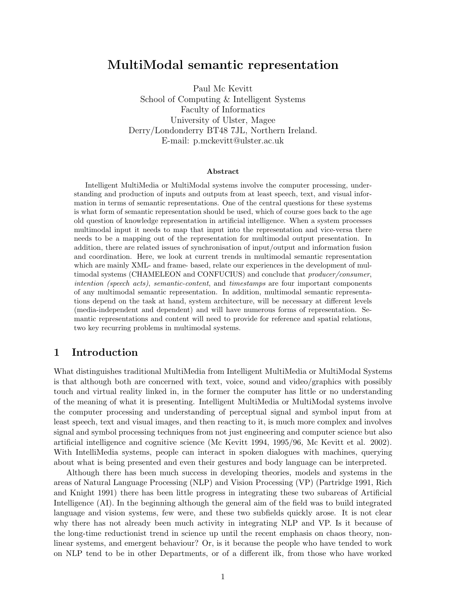# MultiModal semantic representation

Paul Mc Kevitt

School of Computing & Intelligent Systems Faculty of Informatics University of Ulster, Magee Derry/Londonderry BT48 7JL, Northern Ireland. E-mail: p.mckevitt@ulster.ac.uk

#### Abstract

Intelligent MultiMedia or MultiModal systems involve the computer processing, understanding and production of inputs and outputs from at least speech, text, and visual information in terms of semantic representations. One of the central questions for these systems is what form of semantic representation should be used, which of course goes back to the age old question of knowledge representation in artificial intelligence. When a system processes multimodal input it needs to map that input into the representation and vice-versa there needs to be a mapping out of the representation for multimodal output presentation. In addition, there are related issues of synchronisation of input/output and information fusion and coordination. Here, we look at current trends in multimodal semantic representation which are mainly XML- and frame- based, relate our experiences in the development of multimodal systems (CHAMELEON and CONFUCIUS) and conclude that *producer/consumer*, *intention (speech acts)*, *semantic-content*, and *timestamps* are four important components of any multimodal semantic representation. In addition, multimodal semantic representations depend on the task at hand, system architecture, will be necessary at different levels (media-independent and dependent) and will have numerous forms of representation. Semantic representations and content will need to provide for reference and spatial relations, two key recurring problems in multimodal systems.

# 1 Introduction

What distinguishes traditional MultiMedia from Intelligent MultiMedia or MultiModal Systems is that although both are concerned with text, voice, sound and video/graphics with possibly touch and virtual reality linked in, in the former the computer has little or no understanding of the meaning of what it is presenting. Intelligent MultiMedia or MultiModal systems involve the computer processing and understanding of perceptual signal and symbol input from at least speech, text and visual images, and then reacting to it, is much more complex and involves signal and symbol processing techniques from not just engineering and computer science but also artificial intelligence and cognitive science (Mc Kevitt 1994, 1995/96, Mc Kevitt et al. 2002). With IntelliMedia systems, people can interact in spoken dialogues with machines, querying about what is being presented and even their gestures and body language can be interpreted.

Although there has been much success in developing theories, models and systems in the areas of Natural Language Processing (NLP) and Vision Processing (VP) (Partridge 1991, Rich and Knight 1991) there has been little progress in integrating these two subareas of Artificial Intelligence (AI). In the beginning although the general aim of the field was to build integrated language and vision systems, few were, and these two subfields quickly arose. It is not clear why there has not already been much activity in integrating NLP and VP. Is it because of the long-time reductionist trend in science up until the recent emphasis on chaos theory, nonlinear systems, and emergent behaviour? Or, is it because the people who have tended to work on NLP tend to be in other Departments, or of a different ilk, from those who have worked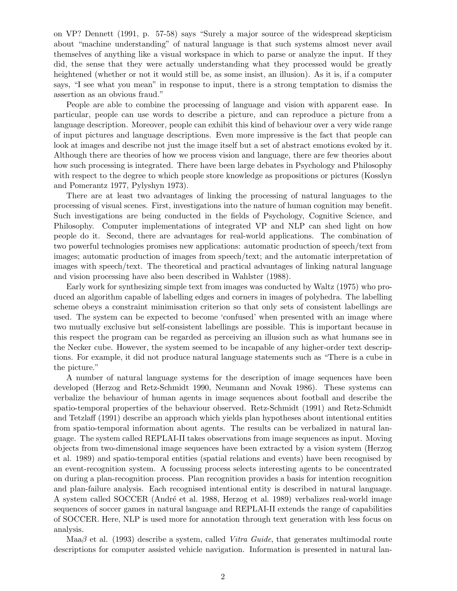on VP? Dennett (1991, p. 57-58) says "Surely a major source of the widespread skepticism about "machine understanding" of natural language is that such systems almost never avail themselves of anything like a visual workspace in which to parse or analyze the input. If they did, the sense that they were actually understanding what they processed would be greatly heightened (whether or not it would still be, as some insist, an illusion). As it is, if a computer says, "I see what you mean" in response to input, there is a strong temptation to dismiss the assertion as an obvious fraud."

People are able to combine the processing of language and vision with apparent ease. In particular, people can use words to describe a picture, and can reproduce a picture from a language description. Moreover, people can exhibit this kind of behaviour over a very wide range of input pictures and language descriptions. Even more impressive is the fact that people can look at images and describe not just the image itself but a set of abstract emotions evoked by it. Although there are theories of how we process vision and language, there are few theories about how such processing is integrated. There have been large debates in Psychology and Philosophy with respect to the degree to which people store knowledge as propositions or pictures (Kosslyn and Pomerantz 1977, Pylyshyn 1973).

There are at least two advantages of linking the processing of natural languages to the processing of visual scenes. First, investigations into the nature of human cognition may benefit. Such investigations are being conducted in the fields of Psychology, Cognitive Science, and Philosophy. Computer implementations of integrated VP and NLP can shed light on how people do it. Second, there are advantages for real-world applications. The combination of two powerful technologies promises new applications: automatic production of speech/text from images; automatic production of images from speech/text; and the automatic interpretation of images with speech/text. The theoretical and practical advantages of linking natural language and vision processing have also been described in Wahlster (1988).

Early work for synthesizing simple text from images was conducted by Waltz (1975) who produced an algorithm capable of labelling edges and corners in images of polyhedra. The labelling scheme obeys a constraint minimisation criterion so that only sets of consistent labellings are used. The system can be expected to become 'confused' when presented with an image where two mutually exclusive but self-consistent labellings are possible. This is important because in this respect the program can be regarded as perceiving an illusion such as what humans see in the Necker cube. However, the system seemed to be incapable of any higher-order text descriptions. For example, it did not produce natural language statements such as "There is a cube in the picture."

A number of natural language systems for the description of image sequences have been developed (Herzog and Retz-Schmidt 1990, Neumann and Novak 1986). These systems can verbalize the behaviour of human agents in image sequences about football and describe the spatio-temporal properties of the behaviour observed. Retz-Schmidt (1991) and Retz-Schmidt and Tetzlaff (1991) describe an approach which yields plan hypotheses about intentional entities from spatio-temporal information about agents. The results can be verbalized in natural language. The system called REPLAI-II takes observations from image sequences as input. Moving objects from two-dimensional image sequences have been extracted by a vision system (Herzog et al. 1989) and spatio-temporal entities (spatial relations and events) have been recognised by an event-recognition system. A focussing process selects interesting agents to be concentrated on during a plan-recognition process. Plan recognition provides a basis for intention recognition and plan-failure analysis. Each recognised intentional entity is described in natural language. A system called SOCCER (André et al. 1988, Herzog et al. 1989) verbalizes real-world image sequences of soccer games in natural language and REPLAI-II extends the range of capabilities of SOCCER. Here, NLP is used more for annotation through text generation with less focus on analysis.

Maaβ et al. (1993) describe a system, called *Vitra Guide*, that generates multimodal route descriptions for computer assisted vehicle navigation. Information is presented in natural lan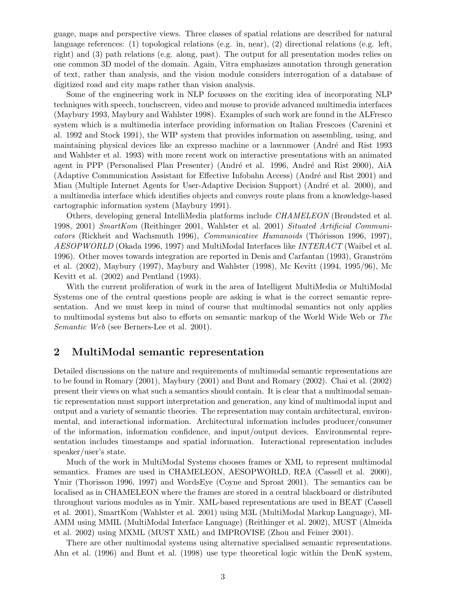guage, maps and perspective views. Three classes of spatial relations are described for natural language references: (1) topological relations (e.g. in, near), (2) directional relations (e.g. left, right) and (3) path relations (e.g. along, past). The output for all presentation modes relies on one common 3D model of the domain. Again, Vitra emphasizes annotation through generation of text, rather than analysis, and the vision module considers interrogation of a database of digitized road and city maps rather than vision analysis.

Some of the engineering work in NLP focusses on the exciting idea of incorporating NLP techniques with speech, touchscreen, video and mouse to provide advanced multimedia interfaces (Maybury 1993, Maybury and Wahlster 1998). Examples of such work are found in the ALFresco system which is a multimedia interface providing information on Italian Frescoes (Carenini et al. 1992 and Stock 1991), the WIP system that provides information on assembling, using, and maintaining physical devices like an expresso machine or a lawnmower (André and Rist 1993 and Wahlster et al. 1993) with more recent work on interactive presentations with an animated agent in PPP (Personalised Plan Presenter) (André et al. 1996, André and Rist 2000), AiA (Adaptive Communication Assistant for Effective Infobahn Access) (André and Rist 2001) and Miau (Multiple Internet Agents for User-Adaptive Decision Support) (André et al. 2000), and a multimedia interface which identifies objects and conveys route plans from a knowledge-based cartographic information system (Maybury 1991).

Others, developing general IntelliMedia platforms include *CHAMELEON* (Brøndsted et al. 1998, 2001) *SmartKom* (Reithinger 2001, Wahlster et al. 2001) *Situated Artificial Communicators* (Rickheit and Wachsmuth 1996), *Communicative Humanoids* (Thórisson 1996, 1997), *AESOPWORLD* (Okada 1996, 1997) and MultiModal Interfaces like *INTERACT* (Waibel et al. 1996). Other moves towards integration are reported in Denis and Carfantan (1993), Granström et al. (2002), Maybury (1997), Maybury and Wahlster (1998), Mc Kevitt (1994, 1995/96), Mc Kevitt et al. (2002) and Pentland (1993).

With the current proliferation of work in the area of Intelligent MultiMedia or MultiModal Systems one of the central questions people are asking is what is the correct semantic representation. And we must keep in mind of course that multimodal semantics not only applies to multimodal systems but also to efforts on semantic markup of the World Wide Web or *The Semantic Web* (see Berners-Lee et al. 2001).

# 2 MultiModal semantic representation

Detailed discussions on the nature and requirements of multimodal semantic representations are to be found in Romary (2001), Maybury (2001) and Bunt and Romary (2002). Chai et al. (2002) present their views on what such a semantics should contain. It is clear that a multimodal semantic representation must support interpretation and generation, any kind of multimodal input and output and a variety of semantic theories. The representation may contain architectural, environmental, and interactional information. Architectural information includes producer/consumer of the information, information confidence, and input/output devices. Environmental representation includes timestamps and spatial information. Interactional representation includes speaker/user's state.

Much of the work in MultiModal Systems chooses frames or XML to represent multimodal semantics. Frames are used in CHAMELEON, AESOPWORLD, REA (Cassell et al. 2000), Ymir (Thorisson 1996, 1997) and WordsEye (Coyne and Sproat 2001). The semantics can be localised as in CHAMELEON where the frames are stored in a central blackboard or distributed throughout various modules as in Ymir. XML-based representations are used in BEAT (Cassell et al. 2001), SmartKom (Wahlster et al. 2001) using M3L (MultiModal Markup Language), MI-AMM using MMIL (MultiModal Interface Language) (Reithinger et al. 2002), MUST (Almeida et al. 2002) using MXML (MUST XML) and IMPROVISE (Zhou and Feiner 2001).

There are other multimodal systems using alternative specialised semantic representations. Ahn et al. (1996) and Bunt et al. (1998) use type theoretical logic within the DenK system,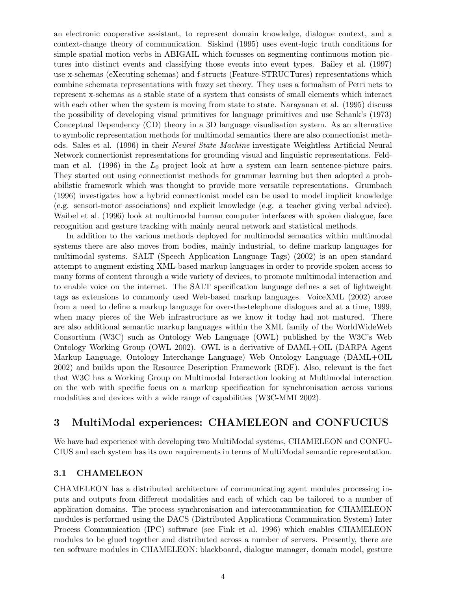an electronic cooperative assistant, to represent domain knowledge, dialogue context, and a context-change theory of communication. Siskind (1995) uses event-logic truth conditions for simple spatial motion verbs in ABIGAIL which focusses on segmenting continuous motion pictures into distinct events and classifying those events into event types. Bailey et al. (1997) use x-schemas (eXecuting schemas) and f-structs (Feature-STRUCTures) representations which combine schemata representations with fuzzy set theory. They uses a formalism of Petri nets to represent x-schemas as a stable state of a system that consists of small elements which interact with each other when the system is moving from state to state. Narayanan et al. (1995) discuss the possibility of developing visual primitives for language primitives and use Schank's (1973) Conceptual Dependency (CD) theory in a 3D language visualisation system. As an alternative to symbolic representation methods for multimodal semantics there are also connectionist methods. Sales et al. (1996) in their *Neural State Machine* investigate Weightless Artificial Neural Network connectionist representations for grounding visual and linguistic representations. Feldman et al. (1996) in the  $L_0$  project look at how a system can learn sentence-picture pairs. They started out using connectionist methods for grammar learning but then adopted a probabilistic framework which was thought to provide more versatile representations. Grumbach (1996) investigates how a hybrid connectionist model can be used to model implicit knowledge (e.g. sensori-motor associations) and explicit knowledge (e.g. a teacher giving verbal advice). Waibel et al. (1996) look at multimodal human computer interfaces with spoken dialogue, face recognition and gesture tracking with mainly neural network and statistical methods.

In addition to the various methods deployed for multimodal semantics within multimodal systems there are also moves from bodies, mainly industrial, to define markup languages for multimodal systems. SALT (Speech Application Language Tags) (2002) is an open standard attempt to augment existing XML-based markup languages in order to provide spoken access to many forms of content through a wide variety of devices, to promote multimodal interaction and to enable voice on the internet. The SALT specification language defines a set of lightweight tags as extensions to commonly used Web-based markup languages. VoiceXML (2002) arose from a need to define a markup language for over-the-telephone dialogues and at a time, 1999, when many pieces of the Web infrastructure as we know it today had not matured. There are also additional semantic markup languages within the XML family of the WorldWideWeb Consortium (W3C) such as Ontology Web Language (OWL) published by the W3C's Web Ontology Working Group (OWL 2002). OWL is a derivative of DAML+OIL (DARPA Agent Markup Language, Ontology Interchange Language) Web Ontology Language (DAML+OIL 2002) and builds upon the Resource Description Framework (RDF). Also, relevant is the fact that W3C has a Working Group on Multimodal Interaction looking at Multimodal interaction on the web with specific focus on a markup specification for synchronisation across various modalities and devices with a wide range of capabilities (W3C-MMI 2002).

# 3 MultiModal experiences: CHAMELEON and CONFUCIUS

We have had experience with developing two MultiModal systems, CHAMELEON and CONFU-CIUS and each system has its own requirements in terms of MultiModal semantic representation.

## 3.1 CHAMELEON

CHAMELEON has a distributed architecture of communicating agent modules processing inputs and outputs from different modalities and each of which can be tailored to a number of application domains. The process synchronisation and intercommunication for CHAMELEON modules is performed using the DACS (Distributed Applications Communication System) Inter Process Communication (IPC) software (see Fink et al. 1996) which enables CHAMELEON modules to be glued together and distributed across a number of servers. Presently, there are ten software modules in CHAMELEON: blackboard, dialogue manager, domain model, gesture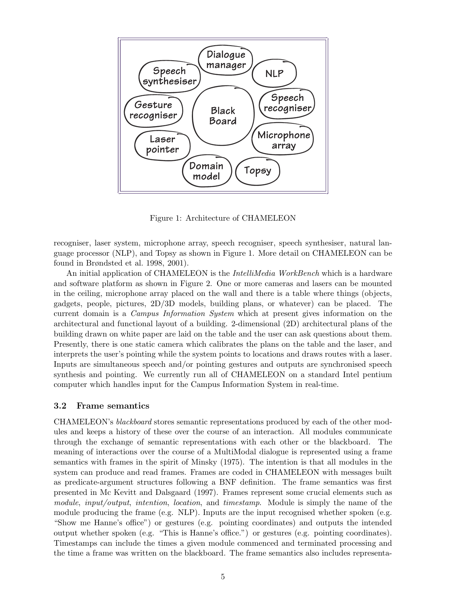

Figure 1: Architecture of CHAMELEON

recogniser, laser system, microphone array, speech recogniser, speech synthesiser, natural language processor (NLP), and Topsy as shown in Figure 1. More detail on CHAMELEON can be found in Brøndsted et al. 1998, 2001).

An initial application of CHAMELEON is the *IntelliMedia WorkBench* which is a hardware and software platform as shown in Figure 2. One or more cameras and lasers can be mounted in the ceiling, microphone array placed on the wall and there is a table where things (objects, gadgets, people, pictures, 2D/3D models, building plans, or whatever) can be placed. The current domain is a *Campus Information System* which at present gives information on the architectural and functional layout of a building. 2-dimensional (2D) architectural plans of the building drawn on white paper are laid on the table and the user can ask questions about them. Presently, there is one static camera which calibrates the plans on the table and the laser, and interprets the user's pointing while the system points to locations and draws routes with a laser. Inputs are simultaneous speech and/or pointing gestures and outputs are synchronised speech synthesis and pointing. We currently run all of CHAMELEON on a standard Intel pentium computer which handles input for the Campus Information System in real-time.

## 3.2 Frame semantics

CHAMELEON's *blackboard* stores semantic representations produced by each of the other modules and keeps a history of these over the course of an interaction. All modules communicate through the exchange of semantic representations with each other or the blackboard. The meaning of interactions over the course of a MultiModal dialogue is represented using a frame semantics with frames in the spirit of Minsky (1975). The intention is that all modules in the system can produce and read frames. Frames are coded in CHAMELEON with messages built as predicate-argument structures following a BNF definition. The frame semantics was first presented in Mc Kevitt and Dalsgaard (1997). Frames represent some crucial elements such as *module*, *input/output*, *intention*, *location*, and *timestamp*. Module is simply the name of the module producing the frame (e.g. NLP). Inputs are the input recognised whether spoken (e.g. "Show me Hanne's office") or gestures (e.g. pointing coordinates) and outputs the intended output whether spoken (e.g. "This is Hanne's office.") or gestures (e.g. pointing coordinates). Timestamps can include the times a given module commenced and terminated processing and the time a frame was written on the blackboard. The frame semantics also includes representa-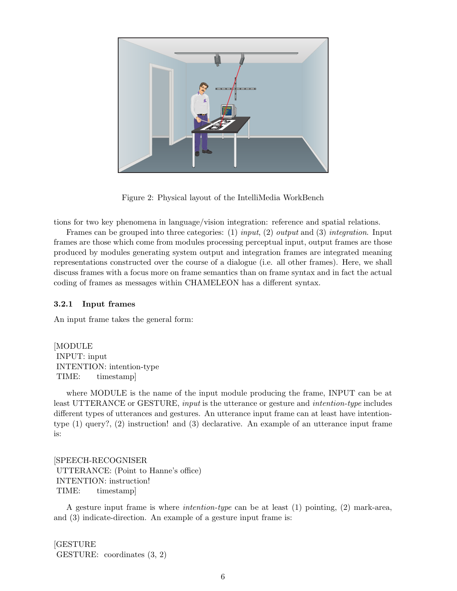

Figure 2: Physical layout of the IntelliMedia WorkBench

tions for two key phenomena in language/vision integration: reference and spatial relations.

Frames can be grouped into three categories: (1) *input*, (2) *output* and (3) *integration*. Input frames are those which come from modules processing perceptual input, output frames are those produced by modules generating system output and integration frames are integrated meaning representations constructed over the course of a dialogue (i.e. all other frames). Here, we shall discuss frames with a focus more on frame semantics than on frame syntax and in fact the actual coding of frames as messages within CHAMELEON has a different syntax.

## 3.2.1 Input frames

An input frame takes the general form:

[MODULE INPUT: input INTENTION: intention-type TIME: timestamp]

where MODULE is the name of the input module producing the frame, INPUT can be at least UTTERANCE or GESTURE, *input* is the utterance or gesture and *intention-type* includes different types of utterances and gestures. An utterance input frame can at least have intentiontype (1) query?, (2) instruction! and (3) declarative. An example of an utterance input frame is:

[SPEECH-RECOGNISER UTTERANCE: (Point to Hanne's office) INTENTION: instruction! TIME: timestamp]

A gesture input frame is where *intention-type* can be at least (1) pointing, (2) mark-area, and (3) indicate-direction. An example of a gesture input frame is:

[GESTURE GESTURE: coordinates (3, 2)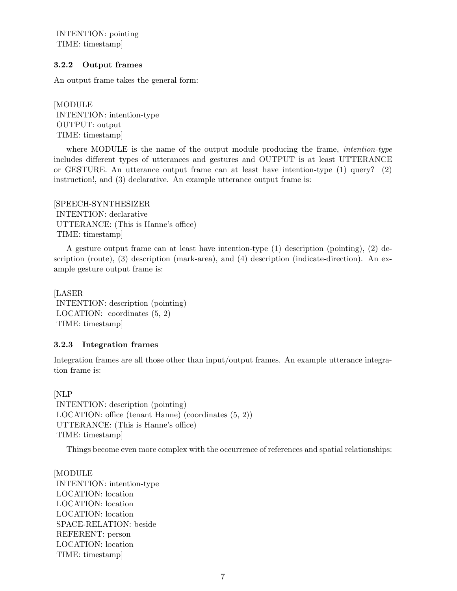INTENTION: pointing TIME: timestamp]

## 3.2.2 Output frames

An output frame takes the general form:

[MODULE INTENTION: intention-type OUTPUT: output TIME: timestamp]

where MODULE is the name of the output module producing the frame, *intention-type* includes different types of utterances and gestures and OUTPUT is at least UTTERANCE or GESTURE. An utterance output frame can at least have intention-type (1) query? (2) instruction!, and (3) declarative. An example utterance output frame is:

[SPEECH-SYNTHESIZER INTENTION: declarative UTTERANCE: (This is Hanne's office) TIME: timestamp]

A gesture output frame can at least have intention-type (1) description (pointing), (2) description (route), (3) description (mark-area), and (4) description (indicate-direction). An example gesture output frame is:

[LASER INTENTION: description (pointing) LOCATION: coordinates (5, 2) TIME: timestamp]

## 3.2.3 Integration frames

Integration frames are all those other than input/output frames. An example utterance integration frame is:

[NLP INTENTION: description (pointing) LOCATION: office (tenant Hanne) (coordinates (5, 2)) UTTERANCE: (This is Hanne's office) TIME: timestamp]

Things become even more complex with the occurrence of references and spatial relationships:

[MODULE INTENTION: intention-type LOCATION: location LOCATION: location LOCATION: location SPACE-RELATION: beside REFERENT: person LOCATION: location TIME: timestamp]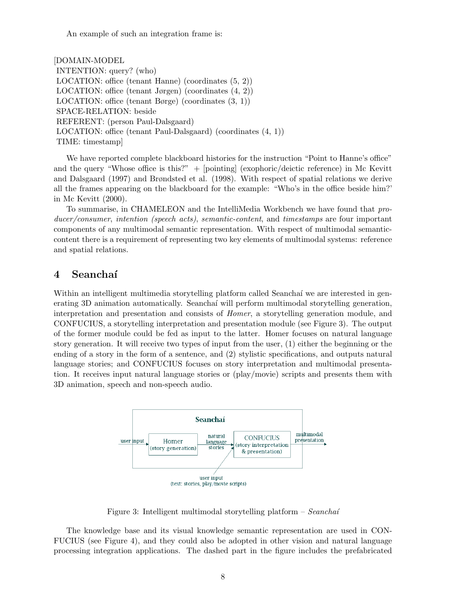An example of such an integration frame is:

[DOMAIN-MODEL INTENTION: query? (who) LOCATION: office (tenant Hanne) (coordinates (5, 2)) LOCATION: office (tenant Jørgen) (coordinates (4, 2)) LOCATION: office (tenant Børge) (coordinates (3, 1)) SPACE-RELATION: beside REFERENT: (person Paul-Dalsgaard) LOCATION: office (tenant Paul-Dalsgaard) (coordinates (4, 1)) TIME: timestamp]

We have reported complete blackboard histories for the instruction "Point to Hanne's office" and the query "Whose office is this?"  $+$  [pointing] (exophoric/deictic reference) in Mc Kevitt and Dalsgaard (1997) and Brøndsted et al. (1998). With respect of spatial relations we derive all the frames appearing on the blackboard for the example: "Who's in the office beside him?' in Mc Kevitt (2000).

To summarise, in CHAMELEON and the IntelliMedia Workbench we have found that *producer/consumer*, *intention (speech acts)*, *semantic-content*, and *timestamps* are four important components of any multimodal semantic representation. With respect of multimodal semanticcontent there is a requirement of representing two key elements of multimodal systems: reference and spatial relations.

# 4 Seanchaí

Within an intelligent multimedia storytelling platform called Seanchaí we are interested in generating 3D animation automatically. Seanchaí will perform multimodal storytelling generation, interpretation and presentation and consists of *Homer*, a storytelling generation module, and CONFUCIUS, a storytelling interpretation and presentation module (see Figure 3). The output of the former module could be fed as input to the latter. Homer focuses on natural language story generation. It will receive two types of input from the user, (1) either the beginning or the ending of a story in the form of a sentence, and (2) stylistic specifications, and outputs natural language stories; and CONFUCIUS focuses on story interpretation and multimodal presentation. It receives input natural language stories or (play/movie) scripts and presents them with 3D animation, speech and non-speech audio.



Figure 3: Intelligent multimodal storytelling platform – *Seancha´ı*

The knowledge base and its visual knowledge semantic representation are used in CON-FUCIUS (see Figure 4), and they could also be adopted in other vision and natural language processing integration applications. The dashed part in the figure includes the prefabricated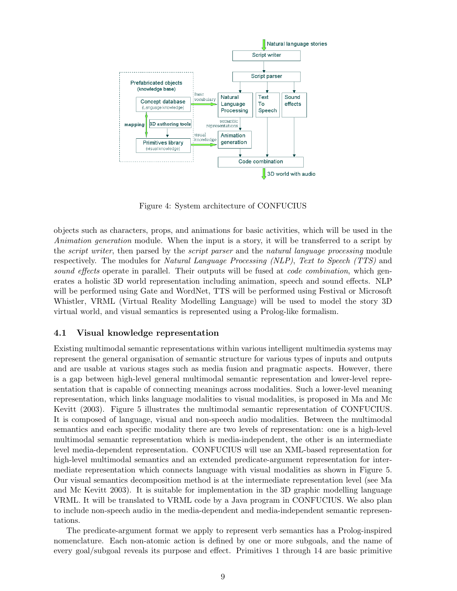

Figure 4: System architecture of CONFUCIUS

objects such as characters, props, and animations for basic activities, which will be used in the *Animation generation* module. When the input is a story, it will be transferred to a script by the *script writer*, then parsed by the *script parser* and the *natural language processing* module respectively. The modules for *Natural Language Processing (NLP)*, *Text to Speech (TTS)* and *sound effects* operate in parallel. Their outputs will be fused at *code combination*, which generates a holistic 3D world representation including animation, speech and sound effects. NLP will be performed using Gate and WordNet, TTS will be performed using Festival or Microsoft Whistler, VRML (Virtual Reality Modelling Language) will be used to model the story 3D virtual world, and visual semantics is represented using a Prolog-like formalism.

## 4.1 Visual knowledge representation

Existing multimodal semantic representations within various intelligent multimedia systems may represent the general organisation of semantic structure for various types of inputs and outputs and are usable at various stages such as media fusion and pragmatic aspects. However, there is a gap between high-level general multimodal semantic representation and lower-level representation that is capable of connecting meanings across modalities. Such a lower-level meaning representation, which links language modalities to visual modalities, is proposed in Ma and Mc Kevitt (2003). Figure 5 illustrates the multimodal semantic representation of CONFUCIUS. It is composed of language, visual and non-speech audio modalities. Between the multimodal semantics and each specific modality there are two levels of representation: one is a high-level multimodal semantic representation which is media-independent, the other is an intermediate level media-dependent representation. CONFUCIUS will use an XML-based representation for high-level multimodal semantics and an extended predicate-argument representation for intermediate representation which connects language with visual modalities as shown in Figure 5. Our visual semantics decomposition method is at the intermediate representation level (see Ma and Mc Kevitt 2003). It is suitable for implementation in the 3D graphic modelling language VRML. It will be translated to VRML code by a Java program in CONFUCIUS. We also plan to include non-speech audio in the media-dependent and media-independent semantic representations.

The predicate-argument format we apply to represent verb semantics has a Prolog-inspired nomenclature. Each non-atomic action is defined by one or more subgoals, and the name of every goal/subgoal reveals its purpose and effect. Primitives 1 through 14 are basic primitive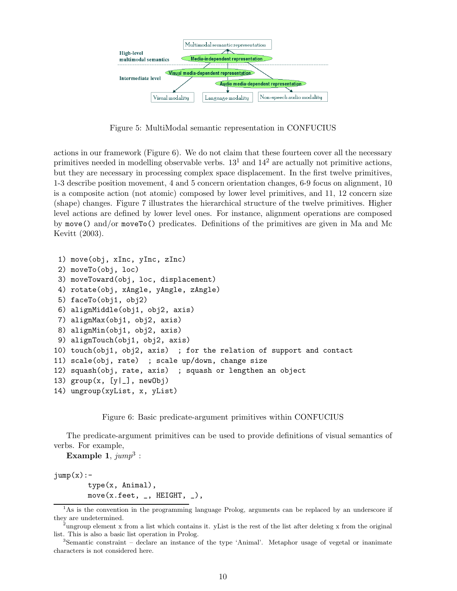

Figure 5: MultiModal semantic representation in CONFUCIUS

actions in our framework (Figure 6). We do not claim that these fourteen cover all the necessary primitives needed in modelling observable verbs.  $13<sup>1</sup>$  and  $14<sup>2</sup>$  are actually not primitive actions, but they are necessary in processing complex space displacement. In the first twelve primitives, 1-3 describe position movement, 4 and 5 concern orientation changes, 6-9 focus on alignment, 10 is a composite action (not atomic) composed by lower level primitives, and 11, 12 concern size (shape) changes. Figure 7 illustrates the hierarchical structure of the twelve primitives. Higher level actions are defined by lower level ones. For instance, alignment operations are composed by move() and/or moveTo() predicates. Definitions of the primitives are given in Ma and Mc Kevitt (2003).

```
1) move(obj, xInc, yInc, zInc)
 2) moveTo(obj, loc)
 3) moveToward(obj, loc, displacement)
 4) rotate(obj, xAngle, yAngle, zAngle)
 5) faceTo(obj1, obj2)
 6) alignMiddle(obj1, obj2, axis)
7) alignMax(obj1, obj2, axis)
 8) alignMin(obj1, obj2, axis)
 9) alignTouch(obj1, obj2, axis)
10) touch(obj1, obj2, axis) ; for the relation of support and contact
11) scale(obj, rate) ; scale up/down, change size
12) squash(obj, rate, axis) ; squash or lengthen an object
13) group(x, [y|_], newObj)
14) ungroup(xyList, x, yList)
```
#### Figure 6: Basic predicate-argument primitives within CONFUCIUS

The predicate-argument primitives can be used to provide definitions of visual semantics of verbs. For example,

Example 1,  $jump^3$ :

 $jump(x):$ 

```
type(x, Animal),
move(x.feet, _, HEIGHT, _),
```
<sup>&</sup>lt;sup>1</sup>As is the convention in the programming language Prolog, arguments can be replaced by an underscore if they are undetermined.

<sup>&</sup>lt;sup>2</sup>ungroup element x from a list which contains it. yList is the rest of the list after deleting x from the original list. This is also a basic list operation in Prolog.

<sup>3</sup> Semantic constraint – declare an instance of the type 'Animal'. Metaphor usage of vegetal or inanimate characters is not considered here.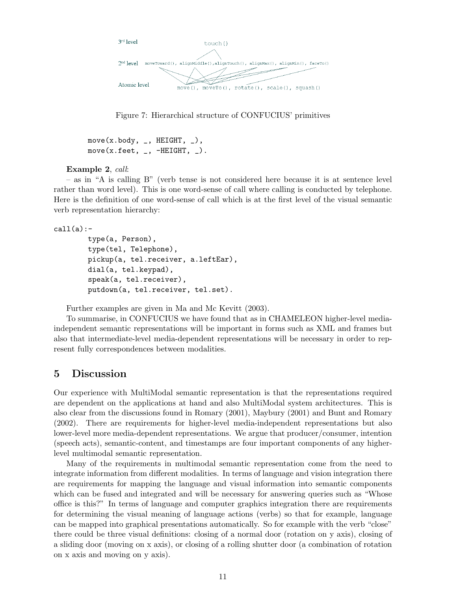

Figure 7: Hierarchical structure of CONFUCIUS' primitives

 $move(x.body, _, HEIGHT, _),$  $move(x.feet, _ - , -HEIGHT, _ -).$ 

## Example 2, *call*:

– as in "A is calling B" (verb tense is not considered here because it is at sentence level rather than word level). This is one word-sense of call where calling is conducted by telephone. Here is the definition of one word-sense of call which is at the first level of the visual semantic verb representation hierarchy:

```
call(a):
```

```
type(a, Person),
type(tel, Telephone),
pickup(a, tel.receiver, a.leftEar),
dial(a, tel.keypad),
speak(a, tel.receiver),
putdown(a, tel.receiver, tel.set).
```
Further examples are given in Ma and Mc Kevitt (2003).

To summarise, in CONFUCIUS we have found that as in CHAMELEON higher-level mediaindependent semantic representations will be important in forms such as XML and frames but also that intermediate-level media-dependent representations will be necessary in order to represent fully correspondences between modalities.

# 5 Discussion

Our experience with MultiModal semantic representation is that the representations required are dependent on the applications at hand and also MultiModal system architectures. This is also clear from the discussions found in Romary (2001), Maybury (2001) and Bunt and Romary (2002). There are requirements for higher-level media-independent representations but also lower-level more media-dependent representations. We argue that producer/consumer, intention (speech acts), semantic-content, and timestamps are four important components of any higherlevel multimodal semantic representation.

Many of the requirements in multimodal semantic representation come from the need to integrate information from different modalities. In terms of language and vision integration there are requirements for mapping the language and visual information into semantic components which can be fused and integrated and will be necessary for answering queries such as "Whose office is this?" In terms of language and computer graphics integration there are requirements for determining the visual meaning of language actions (verbs) so that for example, language can be mapped into graphical presentations automatically. So for example with the verb "close" there could be three visual definitions: closing of a normal door (rotation on y axis), closing of a sliding door (moving on x axis), or closing of a rolling shutter door (a combination of rotation on x axis and moving on y axis).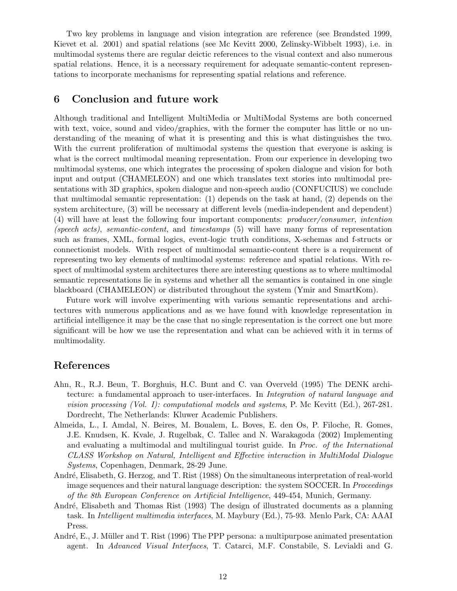Two key problems in language and vision integration are reference (see Brøndsted 1999, Kievet et al. 2001) and spatial relations (see Mc Kevitt 2000, Zelinsky-Wibbelt 1993), i.e. in multimodal systems there are regular deictic references to the visual context and also numerous spatial relations. Hence, it is a necessary requirement for adequate semantic-content representations to incorporate mechanisms for representing spatial relations and reference.

## 6 Conclusion and future work

Although traditional and Intelligent MultiMedia or MultiModal Systems are both concerned with text, voice, sound and video/graphics, with the former the computer has little or no understanding of the meaning of what it is presenting and this is what distinguishes the two. With the current proliferation of multimodal systems the question that everyone is asking is what is the correct multimodal meaning representation. From our experience in developing two multimodal systems, one which integrates the processing of spoken dialogue and vision for both input and output (CHAMELEON) and one which translates text stories into multimodal presentations with 3D graphics, spoken dialogue and non-speech audio (CONFUCIUS) we conclude that multimodal semantic representation: (1) depends on the task at hand, (2) depends on the system architecture, (3) will be necessary at different levels (media-independent and dependent) (4) will have at least the following four important components: *producer/consumer*, *intention (speech acts)*, *semantic-content*, and *timestamps* (5) will have many forms of representation such as frames, XML, formal logics, event-logic truth conditions, X-schemas and f-structs or connectionist models. With respect of multimodal semantic-content there is a requirement of representing two key elements of multimodal systems: reference and spatial relations. With respect of multimodal system architectures there are interesting questions as to where multimodal semantic representations lie in systems and whether all the semantics is contained in one single blackboard (CHAMELEON) or distributed throughout the system (Ymir and SmartKom).

Future work will involve experimenting with various semantic representations and architectures with numerous applications and as we have found with knowledge representation in artificial intelligence it may be the case that no single representation is the correct one but more significant will be how we use the representation and what can be achieved with it in terms of multimodality.

# References

- Ahn, R., R.J. Beun, T. Borghuis, H.C. Bunt and C. van Overveld (1995) The DENK architecture: a fundamental approach to user-interfaces. In *Integration of natural language and vision processing (Vol. I): computational models and systems*, P. Mc Kevitt (Ed.), 267-281. Dordrecht, The Netherlands: Kluwer Academic Publishers.
- Almeida, L., I. Amdal, N. Beires, M. Boualem, L. Boves, E. den Os, P. Filoche, R. Gomes, J.E. Knudsen, K. Kvale, J. Rugelbak, C. Tallec and N. Warakagoda (2002) Implementing and evaluating a multimodal and multilingual tourist guide. In *Proc. of the International CLASS Workshop on Natural, Intelligent and Effective interaction in MultiModal Dialogue Systems*, Copenhagen, Denmark, 28-29 June.
- André, Elisabeth, G. Herzog, and T. Rist (1988) On the simultaneous interpretation of real-world image sequences and their natural language description: the system SOCCER. In *Proceedings of the 8th European Conference on Artificial Intelligence*, 449-454, Munich, Germany.
- André, Elisabeth and Thomas Rist (1993) The design of illustrated documents as a planning task. In *Intelligent multimedia interfaces*, M. Maybury (Ed.), 75-93. Menlo Park, CA: AAAI Press.
- André, E., J. Müller and T. Rist (1996) The PPP persona: a multipurpose animated presentation agent. In *Advanced Visual Interfaces*, T. Catarci, M.F. Constabile, S. Levialdi and G.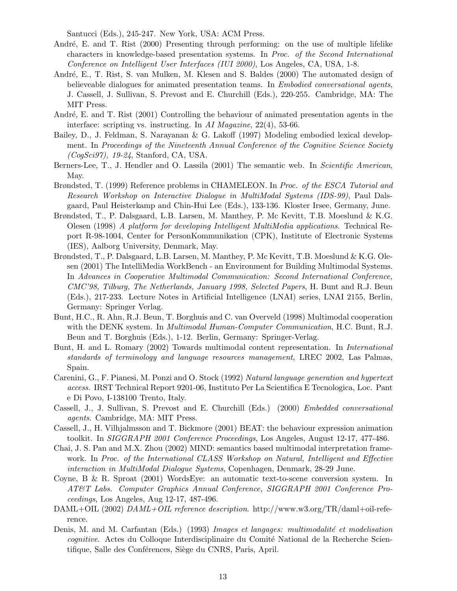Santucci (Eds.), 245-247. New York, USA: ACM Press.

- André, E. and T. Rist (2000) Presenting through performing: on the use of multiple lifelike characters in knowledge-based presentation systems. In *Proc. of the Second International Conference on Intelligent User Interfaces (IUI 2000)*, Los Angeles, CA, USA, 1-8.
- André, E., T. Rist, S. van Mulken, M. Klesen and S. Baldes (2000) The automated design of believeable dialogues for animated presentation teams. In *Embodied conversational agents*, J. Cassell, J. Sullivan, S. Prevost and E. Churchill (Eds.), 220-255. Cambridge, MA: The MIT Press.
- André, E. and T. Rist (2001) Controlling the behaviour of animated presentation agents in the interface: scripting vs. instructing. In *AI Magazine*, 22(4), 53-66.
- Bailey, D., J. Feldman, S. Narayanan & G. Lakoff (1997) Modeling embodied lexical development. In *Proceedings of the Nineteenth Annual Conference of the Cognitive Science Society (CogSci97), 19-24*, Stanford, CA, USA.
- Berners-Lee, T., J. Hendler and O. Lassila (2001) The semantic web. In *Scientific American*, May.
- Brøndsted, T. (1999) Reference problems in CHAMELEON. In *Proc. of the ESCA Tutorial and Research Workshop on Interactive Dialogue in MultiModal Systems (IDS-99)*, Paul Dalsgaard, Paul Heisterkamp and Chin-Hui Lee (Eds.), 133-136. Kloster Irsee, Germany, June.
- Brøndsted, T., P. Dalsgaard, L.B. Larsen, M. Manthey, P. Mc Kevitt, T.B. Moeslund & K.G. Olesen (1998) *A platform for developing Intelligent MultiMedia applications*. Technical Report R-98-1004, Center for PersonKommunikation (CPK), Institute of Electronic Systems (IES), Aalborg University, Denmark, May.
- Brøndsted, T., P. Dalsgaard, L.B. Larsen, M. Manthey, P. Mc Kevitt, T.B. Moeslund & K.G. Olesen (2001) The IntelliMedia WorkBench - an Environment for Building Multimodal Systems. In *Advances in Cooperative Multimodal Communication: Second International Conference, CMC'98, Tilburg, The Netherlands, January 1998, Selected Papers*, H. Bunt and R.J. Beun (Eds.), 217-233. Lecture Notes in Artificial Intelligence (LNAI) series, LNAI 2155, Berlin, Germany: Springer Verlag.
- Bunt, H.C., R. Ahn, R.J. Beun, T. Borghuis and C. van Overveld (1998) Multimodal cooperation with the DENK system. In *Multimodal Human-Computer Communication*, H.C. Bunt, R.J. Beun and T. Borghuis (Eds.), 1-12. Berlin, Germany: Springer-Verlag.
- Bunt, H. and L. Romary (2002) Towards multimodal content representation. In *International standards of terminology and language resources management*, LREC 2002, Las Palmas, Spain.
- Carenini, G., F. Pianesi, M. Ponzi and O. Stock (1992) *Natural language generation and hypertext access*. IRST Technical Report 9201-06, Instituto Per La Scientifica E Tecnologica, Loc. Pant e Di Povo, I-138100 Trento, Italy.
- Cassell, J., J. Sullivan, S. Prevost and E. Churchill (Eds.) (2000) *Embedded conversational agents*. Cambridge, MA: MIT Press.
- Cassell, J., H. Vilhjalmsson and T. Bickmore (2001) BEAT: the behaviour expression animation toolkit. In *SIGGRAPH 2001 Conference Proceedings*, Los Angeles, August 12-17, 477-486.
- Chai, J. S. Pan and M.X. Zhou (2002) MIND: semantics based multimodal interpretation framework. In *Proc. of the International CLASS Workshop on Natural, Intelligent and Effective interaction in MultiModal Dialogue Systems*, Copenhagen, Denmark, 28-29 June.
- Coyne, B & R. Sproat (2001) WordsEye: an automatic text-to-scene conversion system. In *AT&T Labs. Computer Graphics Annual Conference, SIGGRAPH 2001 Conference Proceedings*, Los Angeles, Aug 12-17, 487-496.
- DAML+OIL (2002) *DAML+OIL reference description*. http://www.w3.org/TR/daml+oil-reference.
- Denis, M. and M. Carfantan (Eds.) (1993) *Images et langages: multimodalité et modelisation cognitive*. Actes du Colloque Interdisciplinaire du Comité National de la Recherche Scientifique, Salle des Conférences, Siège du CNRS, Paris, April.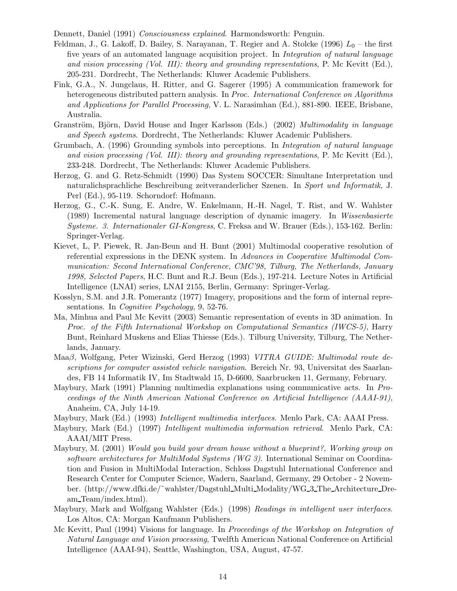Dennett, Daniel (1991) *Consciousness explained*. Harmondsworth: Penguin.

- Feldman, J., G. Lakoff, D. Bailey, S. Narayanan, T. Regier and A. Stolcke (1996)  $L_0$  the first five years of an automated language acquisition project. In *Integration of natural language and vision processing (Vol. III): theory and grounding representations*, P. Mc Kevitt (Ed.), 205-231. Dordrecht, The Netherlands: Kluwer Academic Publishers.
- Fink, G.A., N. Jungclaus, H. Ritter, and G. Sagerer (1995) A communication framework for heterogeneous distributed pattern analysis. In *Proc. International Conference on Algorithms and Applications for Parallel Processing*, V. L. Narasimhan (Ed.), 881-890. IEEE, Brisbane, Australia.
- Granström, Björn, David House and Inger Karlsson (Eds.) (2002) *Multimodality in language and Speech systems*. Dordrecht, The Netherlands: Kluwer Academic Publishers.
- Grumbach, A. (1996) Grounding symbols into perceptions. In *Integration of natural language and vision processing (Vol. III): theory and grounding representations*, P. Mc Kevitt (Ed.), 233-248. Dordrecht, The Netherlands: Kluwer Academic Publishers.
- Herzog, G. and G. Retz-Schmidt (1990) Das System SOCCER: Simultane Interpretation und naturalichsprachliche Beschreibung zeitveranderlicher Szenen. In *Sport und Informatik*, J. Perl (Ed.), 95-119. Schorndorf: Hofmann.
- Herzog, G., C.-K. Sung, E. Andre, W. Enkelmann, H.-H. Nagel, T. Rist, and W. Wahlster (1989) Incremental natural language description of dynamic imagery. In *Wissenbasierte Systeme. 3. Internationaler GI-Kongress*, C. Freksa and W. Brauer (Eds.), 153-162. Berlin: Springer-Verlag.
- Kievet, L, P. Piewek, R. Jan-Beun and H. Bunt (2001) Multimodal cooperative resolution of referential expressions in the DENK system. In *Advances in Cooperative Multimodal Communication: Second International Conference, CMC'98, Tilburg, The Netherlands, January 1998, Selected Papers*, H.C. Bunt and R.J. Beun (Eds.), 197-214. Lecture Notes in Artificial Intelligence (LNAI) series, LNAI 2155, Berlin, Germany: Springer-Verlag.
- Kosslyn, S.M. and J.R. Pomerantz (1977) Imagery, propositions and the form of internal representations. In *Cognitive Psychology*, 9, 52-76.
- Ma, Minhua and Paul Mc Kevitt (2003) Semantic representation of events in 3D animation. In *Proc. of the Fifth International Workshop on Computational Semantics (IWCS-5)*, Harry Bunt, Reinhard Muskens and Elias Thiesse (Eds.). Tilburg University, Tilburg, The Netherlands, January.
- Maaβ, Wolfgang, Peter Wizinski, Gerd Herzog (1993) *VITRA GUIDE: Multimodal route descriptions for computer assisted vehicle navigation*. Bereich Nr. 93, Universitat des Saarlandes, FB 14 Informatik IV, Im Stadtwald 15, D-6600, Saarbrucken 11, Germany, February.
- Maybury, Mark (1991) Planning multimedia explanations using communicative acts. In *Proceedings of the Ninth American National Conference on Artificial Intelligence (AAAI-91)*, Anaheim, CA, July 14-19.
- Maybury, Mark (Ed.) (1993) *Intelligent multimedia interfaces*. Menlo Park, CA: AAAI Press.
- Maybury, Mark (Ed.) (1997) *Intelligent multimedia information retrieval*. Menlo Park, CA: AAAI/MIT Press.
- Maybury, M. (2001) *Would you build your dream house without a blueprint?, Working group on software architectures for MultiModal Systems (WG 3)*. International Seminar on Coordination and Fusion in MultiModal Interaction, Schloss Dagstuhl International Conference and Research Center for Computer Science, Wadern, Saarland, Germany, 29 October - 2 November. (http://www.dfki.de/˜wahlster/Dagstuhl Multi Modality/WG 3 The Architecture Dream Team/index.html).
- Maybury, Mark and Wolfgang Wahlster (Eds.) (1998) *Readings in intelligent user interfaces*. Los Altos, CA: Morgan Kaufmann Publishers.
- Mc Kevitt, Paul (1994) Visions for language. In *Proceedings of the Workshop on Integration of Natural Language and Vision processing*, Twelfth American National Conference on Artificial Intelligence (AAAI-94), Seattle, Washington, USA, August, 47-57.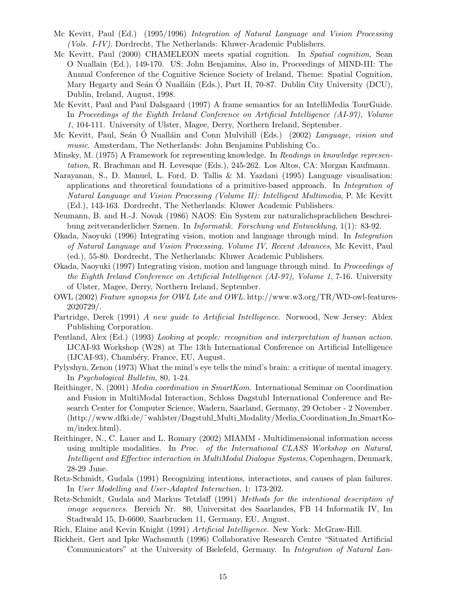- Mc Kevitt, Paul (Ed.) (1995/1996) *Integration of Natural Language and Vision Processing (Vols. I-IV)*. Dordrecht, The Netherlands: Kluwer-Academic Publishers.
- Mc Kevitt, Paul (2000) CHAMELEON meets spatial cognition. In *Spatial cognition*, Sean O Nuallain (Ed.), 149-170. US: John Benjamins, Also in, Proceedings of MIND-III: The Annual Conference of the Cognitive Science Society of Ireland, Theme: Spatial Cognition, Mary Hegarty and Seán O Nualláin (Eds.), Part II, 70-87. Dublin City University (DCU), Dublin, Ireland, August, 1998.
- Mc Kevitt, Paul and Paul Dalsgaard (1997) A frame semantics for an IntelliMedia TourGuide. In *Proceedings of the Eighth Ireland Conference on Artificial Intelligence (AI-97), Volume 1*, 104-111. University of Ulster, Magee, Derry, Northern Ireland, September.
- Mc Kevitt, Paul, Seán Ó Nualláin and Conn Mulvihill (Eds.) (2002) *Language, vision and music*. Amsterdam, The Netherlands: John Benjamins Publishing Co..
- Minsky, M. (1975) A Framework for representing knowledge. In *Readings in knowledge representation*, R. Brachman and H. Levesque (Eds.), 245-262. Los Altos, CA: Morgan Kaufmann.
- Narayanan, S., D. Manuel, L. Ford, D. Tallis & M. Yazdani (1995) Language visualisation: applications and theoretical foundations of a primitive-based approach. In *Integration of Natural Language and Vision Processing (Volume II): Intelligent Multimedia*, P. Mc Kevitt (Ed.), 143-163. Dordrecht, The Netherlands: Kluwer Academic Publishers.
- Neumann, B. and H.-J. Novak (1986) NAOS: Ein System zur naturalichsprachlichen Beschreibung zeitveranderlicher Szenen. In *Informatik. Forschung und Entwicklung*, 1(1): 83-92.
- Okada, Naoyuki (1996) Integrating vision, motion and language through mind. In *Integration of Natural Language and Vision Processing, Volume IV, Recent Advances*, Mc Kevitt, Paul (ed.), 55-80. Dordrecht, The Netherlands: Kluwer Academic Publishers.
- Okada, Naoyuki (1997) Integrating vision, motion and language through mind. In *Proceedings of the Eighth Ireland Conference on Artificial Intelligence (AI-97), Volume 1*, 7-16. University of Ulster, Magee, Derry, Northern Ireland, September.
- OWL (2002) *Feature synopsis for OWL Lite and OWL*. http://www.w3.org/TR/WD-owl-features-2020729/.
- Partridge, Derek (1991) *A new guide to Artificial Intelligence*. Norwood, New Jersey: Ablex Publishing Corporation.
- Pentland, Alex (Ed.) (1993) *Looking at people: recognition and interpretation of human action*. IJCAI-93 Workshop (W28) at The 13th International Conference on Artificial Intelligence (IJCAI-93), Chambéry, France, EU, August.
- Pylyshyn, Zenon (1973) What the mind's eye tells the mind's brain: a critique of mental imagery. In *Psychological Bulletin*, 80, 1-24.
- Reithinger, N. (2001) *Media coordination in SmartKom*. International Seminar on Coordination and Fusion in MultiModal Interaction, Schloss Dagstuhl International Conference and Research Center for Computer Science, Wadern, Saarland, Germany, 29 October - 2 November. (http://www.dfki.de/˜wahlster/Dagstuhl Multi Modality/Media Coordination In SmartKom/index.html).
- Reithinger, N., C. Lauer and L. Romary (2002) MIAMM Multidimensional information access using multiple modalities. In *Proc. of the International CLASS Workshop on Natural, Intelligent and Effective interaction in MultiModal Dialogue Systems*, Copenhagen, Denmark, 28-29 June.
- Retz-Schmidt, Gudala (1991) Recognizing intentions, interactions, and causes of plan failures. In *User Modelling and User-Adapted Interaction*, 1: 173-202.
- Retz-Schmidt, Gudala and Markus Tetzlaff (1991) *Methods for the intentional description of image sequences*. Bereich Nr. 80, Universitat des Saarlandes, FB 14 Informatik IV, Im Stadtwald 15, D-6600, Saarbrucken 11, Germany, EU, August.
- Rich, Elaine and Kevin Knight (1991) *Artificial Intelligence*. New York: McGraw-Hill.
- Rickheit, Gert and Ipke Wachsmuth (1996) Collaborative Research Centre "Situated Artificial Communicators" at the University of Bielefeld, Germany. In *Integration of Natural Lan-*